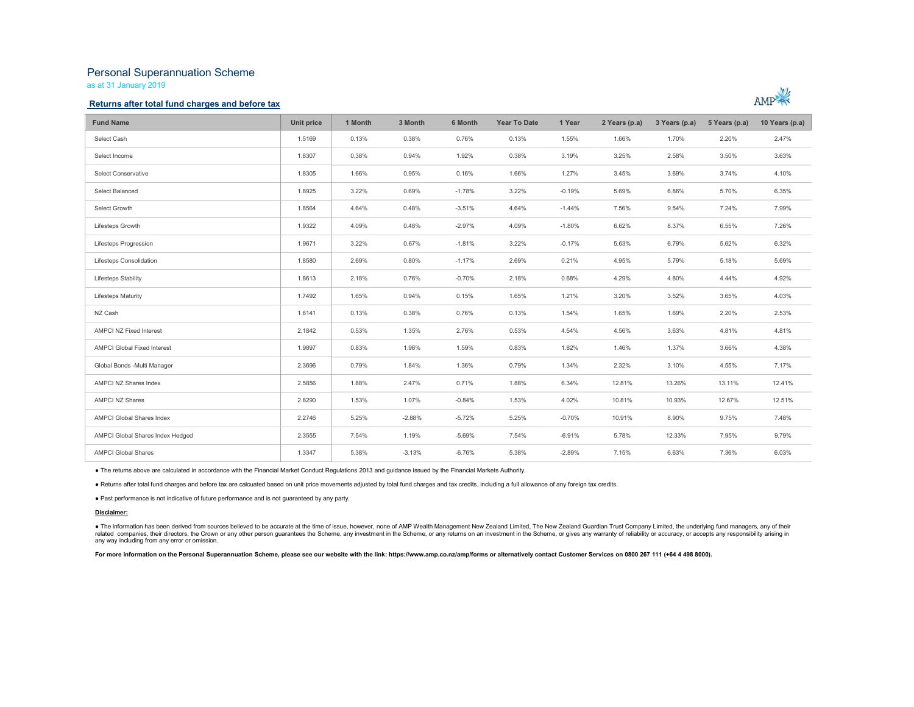# Personal Superannuation Scheme

as at 31 January 2019

### Returns after total fund charges and before tax



| <b>Fund Name</b>                   | Unit price | 1 Month | 3 Month  | 6 Month  | Year To Date | 1 Year   | 2 Years (p.a) | 3 Years (p.a) | 5 Years (p.a) | 10 Years (p.a) |
|------------------------------------|------------|---------|----------|----------|--------------|----------|---------------|---------------|---------------|----------------|
| Select Cash                        | 1.5169     | 0.13%   | 0.38%    | 0.76%    | 0.13%        | 1.55%    | 1.66%         | 1.70%         | 2.20%         | 2.47%          |
| Select Income                      | 1.8307     | 0.38%   | 0.94%    | 1.92%    | 0.38%        | 3.19%    | 3.25%         | 2.58%         | 3.50%         | 3.63%          |
| Select Conservative                | 1.8305     | 1.66%   | 0.95%    | 0.16%    | 1.66%        | 1.27%    | 3.45%         | 3.69%         | 3.74%         | 4.10%          |
| Select Balanced                    | 1.8925     | 3.22%   | 0.69%    | $-1.78%$ | 3.22%        | $-0.19%$ | 5.69%         | 6.86%         | 5.70%         | 6.35%          |
| Select Growth                      | 1.8564     | 4.64%   | 0.48%    | $-3.51%$ | 4.64%        | $-1.44%$ | 7.56%         | 9.54%         | 7.24%         | 7.99%          |
| Lifesteps Growth                   | 1.9322     | 4.09%   | 0.48%    | $-2.97%$ | 4.09%        | $-1.80%$ | 6.62%         | 8.37%         | 6.55%         | 7.26%          |
| Lifesteps Progression              | 1.9671     | 3.22%   | 0.67%    | $-1.81%$ | 3.22%        | $-0.17%$ | 5.63%         | 6.79%         | 5.62%         | 6.32%          |
| Lifesteps Consolidation            | 1.8580     | 2.69%   | 0.80%    | $-1.17%$ | 2.69%        | 0.21%    | 4.95%         | 5.79%         | 5.18%         | 5.69%          |
| Lifesteps Stability                | 1.8613     | 2.18%   | 0.76%    | $-0.70%$ | 2.18%        | 0.68%    | 4.29%         | 4.80%         | 4.44%         | 4.92%          |
| <b>Lifesteps Maturity</b>          | 1.7492     | 1.65%   | 0.94%    | 0.15%    | 1.65%        | 1.21%    | 3.20%         | 3.52%         | 3.65%         | 4.03%          |
| NZ Cash                            | 1.6141     | 0.13%   | 0.38%    | 0.76%    | 0.13%        | 1.54%    | 1.65%         | 1.69%         | 2.20%         | 2.53%          |
| AMPCI NZ Fixed Interest            | 2.1842     | 0.53%   | 1.35%    | 2.76%    | 0.53%        | 4.54%    | 4.56%         | 3.63%         | 4.81%         | 4.81%          |
| <b>AMPCI Global Fixed Interest</b> | 1.9897     | 0.83%   | 1.96%    | 1.59%    | 0.83%        | 1.82%    | 1.46%         | 1.37%         | 3.66%         | 4.38%          |
| Global Bonds -Multi Manager        | 2.3696     | 0.79%   | 1.84%    | 1.36%    | 0.79%        | 1.34%    | 2.32%         | 3.10%         | 4.55%         | 7.17%          |
| AMPCI NZ Shares Index              | 2.5856     | 1.88%   | 2.47%    | 0.71%    | 1.88%        | 6.34%    | 12.81%        | 13.26%        | 13.11%        | 12.41%         |
| <b>AMPCI NZ Shares</b>             | 2.8290     | 1.53%   | 1.07%    | $-0.84%$ | 1.53%        | 4.02%    | 10.81%        | 10.93%        | 12.67%        | 12.51%         |
| <b>AMPCI Global Shares Index</b>   | 2.2746     | 5.25%   | $-2.88%$ | $-5.72%$ | 5.25%        | $-0.70%$ | 10.91%        | 8.90%         | 9.75%         | 7.48%          |
| AMPCI Global Shares Index Hedged   | 2.3555     | 7.54%   | 1.19%    | $-5.69%$ | 7.54%        | $-6.91%$ | 5.78%         | 12.33%        | 7.95%         | 9.79%          |
| <b>AMPCI Global Shares</b>         | 1.3347     | 5.38%   | $-3.13%$ | $-6.76%$ | 5.38%        | $-2.89%$ | 7.15%         | 6.63%         | 7.36%         | 6.03%          |

● The returns above are calculated in accordance with the Financial Market Conduct Regulations 2013 and guidance issued by the Financial Markets Authority.<br>● Returns after total fund charges and before tax are calcuated b

#### Disclaimer:

● The information has been derived from sources believed to be accurate at the time of issue, however, none of AMP Wealth Management New Zealand Limited, The New Zealand Guardian Trust Company Limited, the underlying fund any way including from any error or omission.

For more information on the Personal Superannuation Scheme, please see our website with the link: https://www.amp.co.nz/amp/forms or alternatively contact Customer Services on 0800 267 111 (+64 4 498 8000).